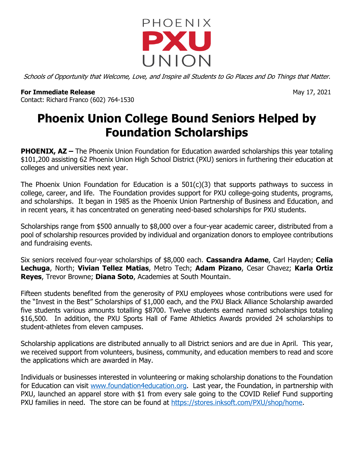

Schools of Opportunity that Welcome, Love, and Inspire all Students to Go Places and Do Things that Matter.

## **For Immediate Release** May 17, 2021 Contact: Richard Franco (602) 764-1530

## **Phoenix Union College Bound Seniors Helped by Foundation Scholarships**

**PHOENIX, AZ** – The Phoenix Union Foundation for Education awarded scholarships this year totaling \$101,200 assisting 62 Phoenix Union High School District (PXU) seniors in furthering their education at colleges and universities next year.

The Phoenix Union Foundation for Education is a 501(c)(3) that supports pathways to success in college, career, and life. The Foundation provides support for PXU college-going students, programs, and scholarships. It began in 1985 as the Phoenix Union Partnership of Business and Education, and in recent years, it has concentrated on generating need-based scholarships for PXU students.

Scholarships range from \$500 annually to \$8,000 over a four-year academic career, distributed from a pool of scholarship resources provided by individual and organization donors to employee contributions and fundraising events.

Six seniors received four-year scholarships of \$8,000 each. **Cassandra Adame**, Carl Hayden; **Celia Lechuga**, North; **Vivian Tellez Matias**, Metro Tech; **Adam Pizano**, Cesar Chavez; **Karla Ortiz Reyes**, Trevor Browne; **Diana Soto**, Academies at South Mountain.

Fifteen students benefited from the generosity of PXU employees whose contributions were used for the "Invest in the Best" Scholarships of \$1,000 each, and the PXU Black Alliance Scholarship awarded five students various amounts totalling \$8700. Twelve students earned named scholarships totaling \$16,500. In addition, the PXU Sports Hall of Fame Athletics Awards provided 24 scholarships to student-athletes from eleven campuses.

Scholarship applications are distributed annually to all District seniors and are due in April. This year, we received support from volunteers, business, community, and education members to read and score the applications which are awarded in May.

Individuals or businesses interested in volunteering or making scholarship donations to the Foundation for Education can visit [www.foundation4education.org.](http://www.foundation4education.org/) Last year, the Foundation, in partnership with PXU, launched an apparel store with \$1 from every sale going to the COVID Relief Fund supporting PXU families in need. The store can be found at [https://stores.inksoft.com/PXU/shop/home.](https://stores.inksoft.com/PXU/shop/home)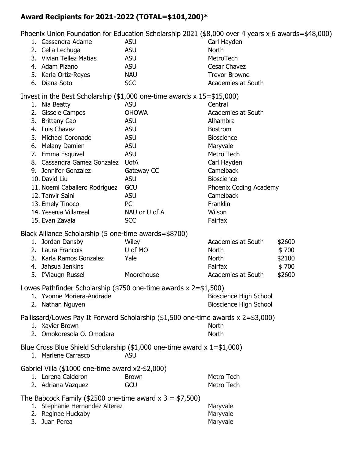## **Award Recipients for 2021-2022 (TOTAL=\$101,200)\***

Phoenix Union Foundation for Education Scholarship 2021 (\$8,000 over 4 years x 6 awards=\$48,000)

|                                                                          | דווטכוווג טוווטורו טעוועמעטורוטר בעעכמוטור <i>סט</i> ווטומראווויך בעבר (פֿס <sub>י</sub> טטט טיכו + years x ט awarus- |               |                               |        |
|--------------------------------------------------------------------------|-----------------------------------------------------------------------------------------------------------------------|---------------|-------------------------------|--------|
|                                                                          | 1. Cassandra Adame                                                                                                    | <b>ASU</b>    | Carl Hayden                   |        |
|                                                                          | 2. Celia Lechuga                                                                                                      | <b>ASU</b>    | North                         |        |
|                                                                          | 3. Vivian Tellez Matias                                                                                               | <b>ASU</b>    | MetroTech                     |        |
|                                                                          | 4. Adam Pizano                                                                                                        | <b>ASU</b>    | Cesar Chavez                  |        |
|                                                                          | 5. Karla Ortiz-Reyes                                                                                                  | <b>NAU</b>    | <b>Trevor Browne</b>          |        |
|                                                                          | 6. Diana Soto                                                                                                         | <b>SCC</b>    | Academies at South            |        |
| Invest in the Best Scholarship (\$1,000 one-time awards $x$ 15=\$15,000) |                                                                                                                       |               |                               |        |
|                                                                          | 1. Nia Beatty                                                                                                         | <b>ASU</b>    | Central                       |        |
|                                                                          | 2. Gissele Campos                                                                                                     | <b>OHOWA</b>  | Academies at South            |        |
|                                                                          | 3. Brittany Cao                                                                                                       | <b>ASU</b>    | Alhambra                      |        |
|                                                                          | 4. Luis Chavez                                                                                                        | <b>ASU</b>    | <b>Bostrom</b>                |        |
|                                                                          | 5. Michael Coronado                                                                                                   | <b>ASU</b>    | <b>Bioscience</b>             |        |
|                                                                          | 6. Melany Damien                                                                                                      | <b>ASU</b>    | Maryvale                      |        |
|                                                                          | 7. Emma Esquivel                                                                                                      | <b>ASU</b>    | Metro Tech                    |        |
|                                                                          | 8. Cassandra Gamez Gonzalez UofA                                                                                      |               | Carl Hayden                   |        |
|                                                                          | 9. Jennifer Gonzalez                                                                                                  | Gateway CC    | Camelback                     |        |
|                                                                          | 10. David Liu                                                                                                         | <b>ASU</b>    | <b>Bioscience</b>             |        |
|                                                                          | 11. Noemi Caballero Rodriguez                                                                                         | GCU           | Phoenix Coding Academy        |        |
|                                                                          | 12. Tanvir Saini                                                                                                      | <b>ASU</b>    | Camelback                     |        |
|                                                                          | 13. Emely Tinoco                                                                                                      | PC            | Franklin                      |        |
|                                                                          | 14. Yesenia Villarreal                                                                                                | NAU or U of A | Wilson                        |        |
|                                                                          | 15. Evan Zavala                                                                                                       | <b>SCC</b>    | Fairfax                       |        |
|                                                                          |                                                                                                                       |               |                               |        |
|                                                                          | Black Alliance Scholarship (5 one-time awards=\$8700)                                                                 |               |                               |        |
|                                                                          | 1. Jordan Dansby                                                                                                      | Wiley         | Academies at South            | \$2600 |
|                                                                          | 2. Laura Francois                                                                                                     | U of MO       | <b>North</b>                  | \$700  |
|                                                                          | 3. Karla Ramos Gonzalez                                                                                               | Yale          | <b>North</b>                  | \$2100 |
|                                                                          | 4. Jahsua Jenkins                                                                                                     |               | Fairfax                       | \$700  |
|                                                                          | 5. I'Viaugn Russel                                                                                                    | Moorehouse    | Academies at South            | \$2600 |
| Lowes Pathfinder Scholarship (\$750 one-time awards x 2=\$1,500)         |                                                                                                                       |               |                               |        |
|                                                                          | 1. Yvonne Moriera-Andrade                                                                                             |               | <b>Bioscience High School</b> |        |
|                                                                          | 2. Nathan Nguyen                                                                                                      |               | <b>Bioscience High School</b> |        |
|                                                                          |                                                                                                                       |               |                               |        |
|                                                                          | Pallissard/Lowes Pay It Forward Scholarship (\$1,500 one-time awards x 2=\$3,000)<br>1. Xavier Brown                  |               | North                         |        |
|                                                                          |                                                                                                                       |               |                               |        |
|                                                                          | 2. Omokoresola O. Omodara                                                                                             |               | North                         |        |
|                                                                          | Blue Cross Blue Shield Scholarship $($1,000$ one-time award $x 1 = $1,000)$                                           |               |                               |        |
|                                                                          | 1. Marlene Carrasco                                                                                                   | <b>ASU</b>    |                               |        |
|                                                                          | Gabriel Villa (\$1000 one-time award x2-\$2,000)                                                                      |               |                               |        |
|                                                                          | 1. Lorena Calderon                                                                                                    | <b>Brown</b>  | Metro Tech                    |        |
|                                                                          | 2. Adriana Vazquez                                                                                                    | GCU           | Metro Tech                    |        |
|                                                                          |                                                                                                                       |               |                               |        |
| The Babcock Family (\$2500 one-time award $x$ 3 = \$7,500)               |                                                                                                                       |               |                               |        |
|                                                                          | 1. Stephanie Hernandez Alterez                                                                                        |               | Maryvale                      |        |
|                                                                          | 2. Reginae Huckaby<br>3. Juan Perea                                                                                   |               | Maryvale<br>Maryvale          |        |
|                                                                          |                                                                                                                       |               |                               |        |